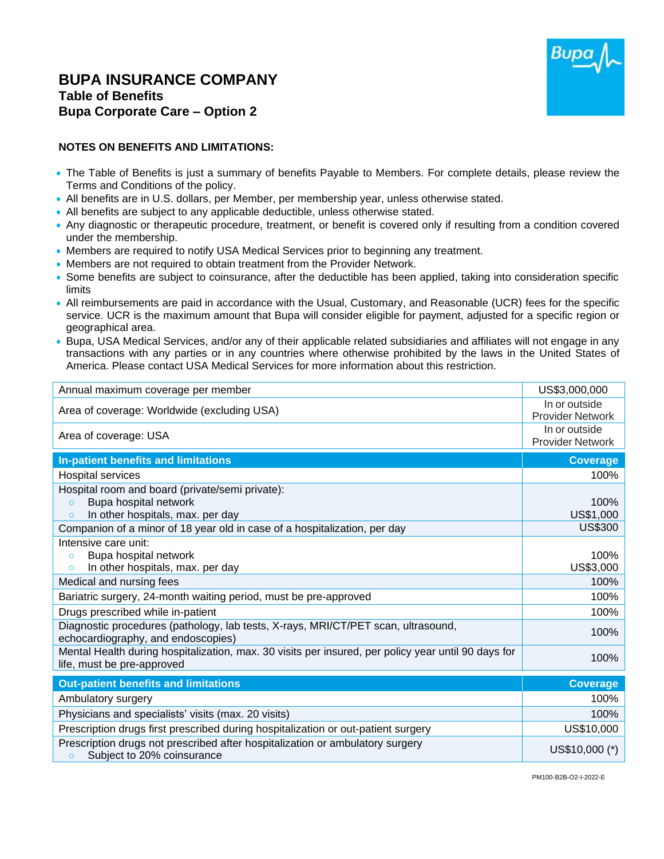## **BUPA INSURANCE COMPANY Table of Benefits Bupa Corporate Care – Option 2**



## **NOTES ON BENEFITS AND LIMITATIONS:**

- The Table of Benefits is just a summary of benefits Payable to Members. For complete details, please review the Terms and Conditions of the policy.
- All benefits are in U.S. dollars, per Member, per membership year, unless otherwise stated.
- All benefits are subject to any applicable deductible, unless otherwise stated.
- Any diagnostic or therapeutic procedure, treatment, or benefit is covered only if resulting from a condition covered under the membership.
- Members are required to notify USA Medical Services prior to beginning any treatment.
- Members are not required to obtain treatment from the Provider Network.
- Some benefits are subject to coinsurance, after the deductible has been applied, taking into consideration specific limits
- All reimbursements are paid in accordance with the Usual, Customary, and Reasonable (UCR) fees for the specific service. UCR is the maximum amount that Bupa will consider eligible for payment, adjusted for a specific region or geographical area.
- Bupa, USA Medical Services, and/or any of their applicable related subsidiaries and affiliates will not engage in any transactions with any parties or in any countries where otherwise prohibited by the laws in the United States of America. Please contact USA Medical Services for more information about this restriction.

| Annual maximum coverage per member                                                                                                | US\$3,000,000                            |
|-----------------------------------------------------------------------------------------------------------------------------------|------------------------------------------|
| Area of coverage: Worldwide (excluding USA)                                                                                       | In or outside<br><b>Provider Network</b> |
| Area of coverage: USA                                                                                                             | In or outside<br><b>Provider Network</b> |
| <b>In-patient benefits and limitations</b>                                                                                        | <b>Coverage</b>                          |
| <b>Hospital services</b>                                                                                                          | 100%                                     |
| Hospital room and board (private/semi private):                                                                                   |                                          |
| Bupa hospital network<br>$\circ$                                                                                                  | 100%                                     |
| In other hospitals, max. per day<br>$\circ$                                                                                       | US\$1,000                                |
| Companion of a minor of 18 year old in case of a hospitalization, per day                                                         | <b>US\$300</b>                           |
| Intensive care unit:                                                                                                              |                                          |
| Bupa hospital network<br>$\circ$                                                                                                  | 100%                                     |
| In other hospitals, max. per day<br>$\circ$                                                                                       | US\$3,000                                |
| Medical and nursing fees                                                                                                          | 100%                                     |
| Bariatric surgery, 24-month waiting period, must be pre-approved                                                                  | 100%                                     |
| Drugs prescribed while in-patient                                                                                                 | 100%                                     |
| Diagnostic procedures (pathology, lab tests, X-rays, MRI/CT/PET scan, ultrasound,<br>echocardiography, and endoscopies)           | 100%                                     |
| Mental Health during hospitalization, max. 30 visits per insured, per policy year until 90 days for<br>life, must be pre-approved | 100%                                     |
| <b>Out-patient benefits and limitations</b>                                                                                       | <b>Coverage</b>                          |
| Ambulatory surgery                                                                                                                | 100%                                     |
| Physicians and specialists' visits (max. 20 visits)                                                                               | 100%                                     |
| Prescription drugs first prescribed during hospitalization or out-patient surgery                                                 | US\$10,000                               |
| Prescription drugs not prescribed after hospitalization or ambulatory surgery<br>Subject to 20% coinsurance<br>$\circ$            | US\$10,000 (*)                           |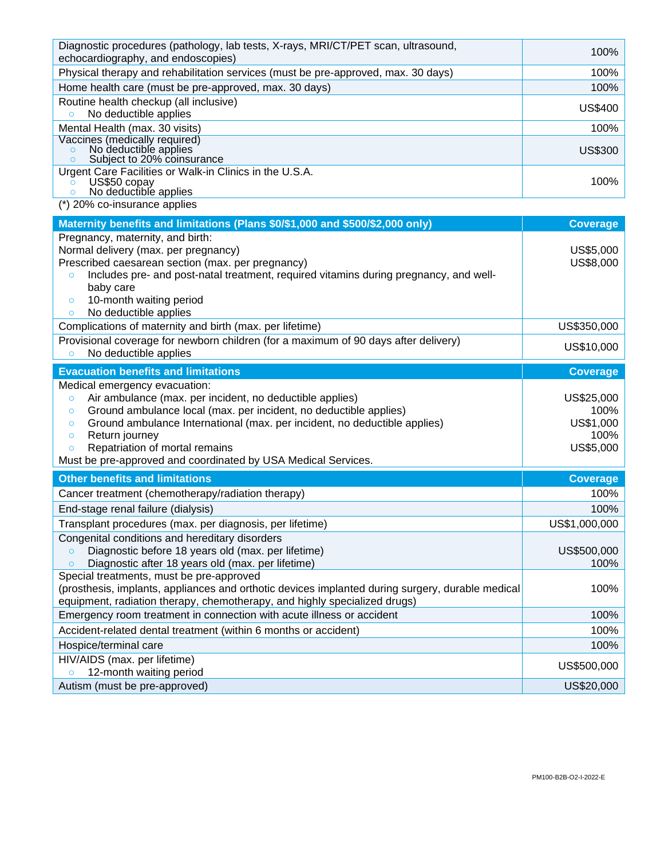| Diagnostic procedures (pathology, lab tests, X-rays, MRI/CT/PET scan, ultrasound,<br>echocardiography, and endoscopies) | 100%           |
|-------------------------------------------------------------------------------------------------------------------------|----------------|
| Physical therapy and rehabilitation services (must be pre-approved, max. 30 days)                                       | 100%           |
| Home health care (must be pre-approved, max. 30 days)                                                                   | 100%           |
| Routine health checkup (all inclusive)<br>No deductible applies                                                         | <b>US\$400</b> |
| Mental Health (max. 30 visits)                                                                                          | 100%           |
| Vaccines (medically required)<br>No deductible applies<br>Subject to 20% coinsurance                                    | US\$300        |
| Urgent Care Facilities or Walk-in Clinics in the U.S.A.<br>US\$50 copay<br>No deductible applies                        | 100%           |
| (*) 20% co-insurance applies                                                                                            |                |

| Maternity benefits and limitations (Plans \$0/\$1,000 and \$500/\$2,000 only)                                                                                                                                                                                                                                                                          | <b>Coverage</b>                                      |
|--------------------------------------------------------------------------------------------------------------------------------------------------------------------------------------------------------------------------------------------------------------------------------------------------------------------------------------------------------|------------------------------------------------------|
| Pregnancy, maternity, and birth:<br>Normal delivery (max. per pregnancy)<br>Prescribed caesarean section (max. per pregnancy)<br>Includes pre- and post-natal treatment, required vitamins during pregnancy, and well-<br>$\circ$<br>baby care<br>10-month waiting period<br>$\circ$<br>No deductible applies<br>$\circ$                               | US\$5,000<br>US\$8,000<br>US\$350,000                |
| Complications of maternity and birth (max. per lifetime)<br>Provisional coverage for newborn children (for a maximum of 90 days after delivery)<br>No deductible applies<br>$\circ$                                                                                                                                                                    | US\$10,000                                           |
| <b>Evacuation benefits and limitations</b>                                                                                                                                                                                                                                                                                                             | <b>Coverage</b>                                      |
| Medical emergency evacuation:<br>Air ambulance (max. per incident, no deductible applies)<br>$\circ$<br>Ground ambulance local (max. per incident, no deductible applies)<br>$\circ$<br>Ground ambulance International (max. per incident, no deductible applies)<br>$\circ$<br>Return journey<br>$\circ$<br>Repatriation of mortal remains<br>$\circ$ | US\$25,000<br>100%<br>US\$1,000<br>100%<br>US\$5,000 |
| Must be pre-approved and coordinated by USA Medical Services.                                                                                                                                                                                                                                                                                          |                                                      |
| <b>Other benefits and limitations</b>                                                                                                                                                                                                                                                                                                                  | <b>Coverage</b>                                      |
| Cancer treatment (chemotherapy/radiation therapy)                                                                                                                                                                                                                                                                                                      | 100%                                                 |
| End-stage renal failure (dialysis)                                                                                                                                                                                                                                                                                                                     | 100%                                                 |
| Transplant procedures (max. per diagnosis, per lifetime)                                                                                                                                                                                                                                                                                               | US\$1,000,000                                        |
| Congenital conditions and hereditary disorders<br>Diagnostic before 18 years old (max. per lifetime)<br>$\circ$<br>Diagnostic after 18 years old (max. per lifetime)<br>$\circ$                                                                                                                                                                        | US\$500,000<br>100%                                  |
| Special treatments, must be pre-approved<br>(prosthesis, implants, appliances and orthotic devices implanted during surgery, durable medical<br>equipment, radiation therapy, chemotherapy, and highly specialized drugs)                                                                                                                              | 100%                                                 |
| Emergency room treatment in connection with acute illness or accident                                                                                                                                                                                                                                                                                  | 100%                                                 |
| Accident-related dental treatment (within 6 months or accident)                                                                                                                                                                                                                                                                                        | 100%                                                 |
| Hospice/terminal care                                                                                                                                                                                                                                                                                                                                  | 100%                                                 |
| HIV/AIDS (max. per lifetime)<br>12-month waiting period<br>$\circ$<br>Autism (must be pre-approved)                                                                                                                                                                                                                                                    | US\$500,000<br>US\$20,000                            |